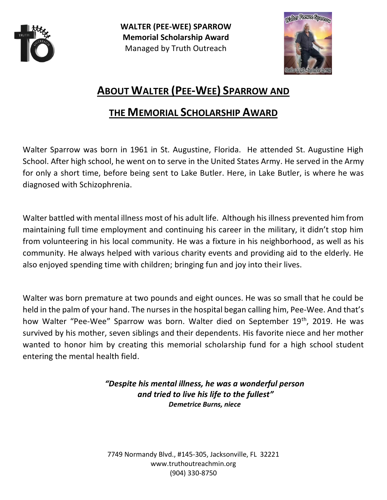

**WALTER (PEE-WEE) SPARROW Memorial Scholarship Award** Managed by Truth Outreach



# **ABOUT WALTER (PEE-WEE) SPARROW AND**

## **THE MEMORIAL SCHOLARSHIP AWARD**

Walter Sparrow was born in 1961 in St. Augustine, Florida. He attended St. Augustine High School. After high school, he went on to serve in the United States Army. He served in the Army for only a short time, before being sent to Lake Butler. Here, in Lake Butler, is where he was diagnosed with Schizophrenia.

Walter battled with mental illness most of his adult life. Although his illness prevented him from maintaining full time employment and continuing his career in the military, it didn't stop him from volunteering in his local community. He was a fixture in his neighborhood, as well as his community. He always helped with various charity events and providing aid to the elderly. He also enjoyed spending time with children; bringing fun and joy into their lives.

Walter was born premature at two pounds and eight ounces. He was so small that he could be held in the palm of your hand. The nurses in the hospital began calling him, Pee-Wee. And that's how Walter "Pee-Wee" Sparrow was born. Walter died on September 19th, 2019. He was survived by his mother, seven siblings and their dependents. His favorite niece and her mother wanted to honor him by creating this memorial scholarship fund for a high school student entering the mental health field.

> *"Despite his mental illness, he was a wonderful person and tried to live his life to the fullest" Demetrice Burns, niece*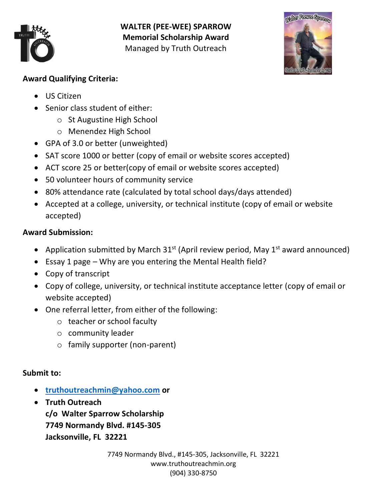

**WALTER (PEE-WEE) SPARROW Memorial Scholarship Award** Managed by Truth Outreach



### **Award Qualifying Criteria:**

- US Citizen
- Senior class student of either:
	- o St Augustine High School
	- o Menendez High School
- GPA of 3.0 or better (unweighted)
- SAT score 1000 or better (copy of email or website scores accepted)
- ACT score 25 or better(copy of email or website scores accepted)
- 50 volunteer hours of community service
- 80% attendance rate (calculated by total school days/days attended)
- Accepted at a college, university, or technical institute (copy of email or website accepted)

## **Award Submission:**

- Application submitted by March  $31^{st}$  (April review period, May  $1^{st}$  award announced)
- Essay 1 page Why are you entering the Mental Health field?
- Copy of transcript
- Copy of college, university, or technical institute acceptance letter (copy of email or website accepted)
- One referral letter, from either of the following:
	- o teacher or school faculty
	- o community leader
	- o family supporter (non-parent)

## **Submit to:**

- **[truthoutreachmin@yahoo.com](mailto:truthoutreachmin@yahoo.com) or**
- **Truth Outreach c/o Walter Sparrow Scholarship 7749 Normandy Blvd. #145-305 Jacksonville, FL 32221**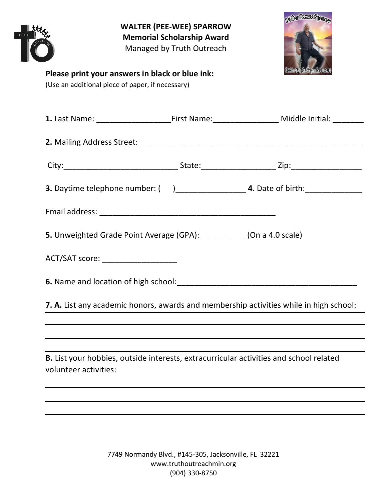|                       |                                                                                                     | <b>WALTER (PEE-WEE) SPARROW</b><br><b>Memorial Scholarship Award</b><br>Managed by Truth Outreach | Welter Peerce Spannon                                                                                     |
|-----------------------|-----------------------------------------------------------------------------------------------------|---------------------------------------------------------------------------------------------------|-----------------------------------------------------------------------------------------------------------|
|                       | Please print your answers in black or blue ink:<br>(Use an additional piece of paper, if necessary) |                                                                                                   |                                                                                                           |
|                       |                                                                                                     |                                                                                                   | 1. Last Name: __________________________First Name:___________________________Middle Initial: ___________ |
|                       |                                                                                                     |                                                                                                   |                                                                                                           |
|                       |                                                                                                     |                                                                                                   |                                                                                                           |
|                       |                                                                                                     |                                                                                                   |                                                                                                           |
|                       |                                                                                                     |                                                                                                   |                                                                                                           |
|                       |                                                                                                     |                                                                                                   | 5. Unweighted Grade Point Average (GPA): ___________ (On a 4.0 scale)                                     |
|                       | ACT/SAT score: _____________________                                                                |                                                                                                   |                                                                                                           |
|                       |                                                                                                     |                                                                                                   |                                                                                                           |
|                       |                                                                                                     |                                                                                                   | 7. A. List any academic honors, awards and membership activities while in high school:                    |
|                       |                                                                                                     |                                                                                                   |                                                                                                           |
|                       |                                                                                                     |                                                                                                   |                                                                                                           |
| volunteer activities: |                                                                                                     |                                                                                                   | B. List your hobbies, outside interests, extracurricular activities and school related                    |
|                       |                                                                                                     |                                                                                                   |                                                                                                           |
|                       |                                                                                                     |                                                                                                   |                                                                                                           |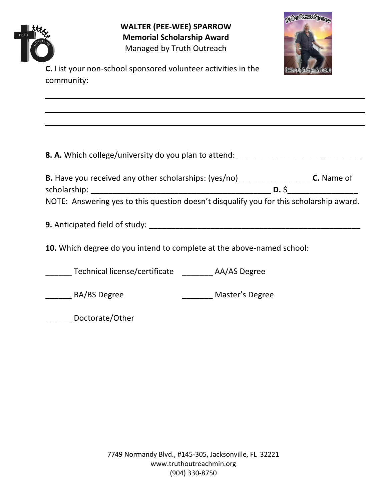Welter Peerce Spann **WALTER (PEE-WEE) SPARROW Memorial Scholarship Award** Managed by Truth Outreach **C.** List your non-school sponsored volunteer activities in the community: **8. A.** Which college/university do you plan to attend: \_\_\_\_\_\_\_\_\_\_\_\_\_\_\_\_\_\_\_\_\_\_\_\_\_\_ **B.** Have you received any other scholarships: (yes/no) \_\_\_\_\_\_\_\_\_\_\_\_\_\_\_\_ **C.** Name of scholarship: \_\_\_\_\_\_\_\_\_\_\_\_\_\_\_\_\_\_\_\_\_\_\_\_\_\_\_\_\_\_\_\_\_\_\_\_\_\_\_\_\_ **D.** \$\_\_\_\_\_\_\_\_\_\_\_\_\_\_\_\_ NOTE: Answering yes to this question doesn't disqualify you for this scholarship award. **9.** Anticipated field of study: **We are all that the study:**  $\blacksquare$ **10.** Which degree do you intend to complete at the above-named school: \_\_\_\_\_\_ Technical license/certificate \_\_\_\_\_\_\_ AA/AS Degree \_\_\_\_\_\_ BA/BS Degree \_\_\_\_\_\_\_ Master's Degree \_\_\_\_\_\_ Doctorate/Other